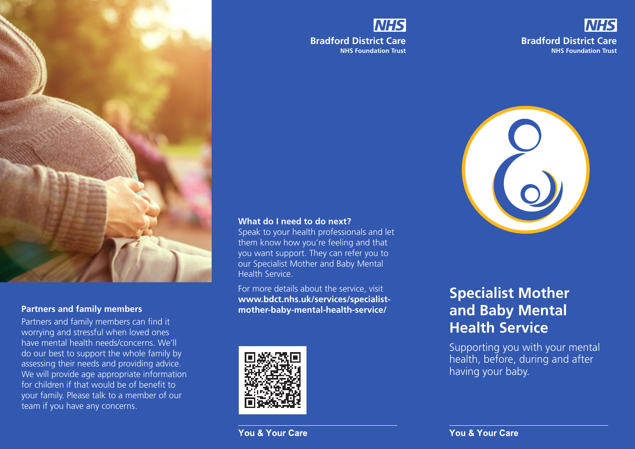

Partners and family members can find it worrying and stressful when loved ones have mental health needs/concerns. We'll do our best to support the whole family by assessing their needs and providing advice. We will provide age appropriate information for children if that would be of benefit to your family. Please talk to a member of our team if you have any concerns.

# **NHS Bradford District Care NHS Foundation Trust**





#### **What do I need to do next?**

Speak to your health professionals and let them know how you're feeling and that you want support. They can refer you to our Specialist Mother and Baby Mental Health Service.

For more details about the service, visit **www.bdct.nhs.uk/services/specialist-Partners and family members mother-baby-mental-health-service/** 



# **Specialist Mother and Baby Mental Health Service**

Supporting you with your mental health, before, during and after having your baby.

**You & Your Care** 

You & Your Care